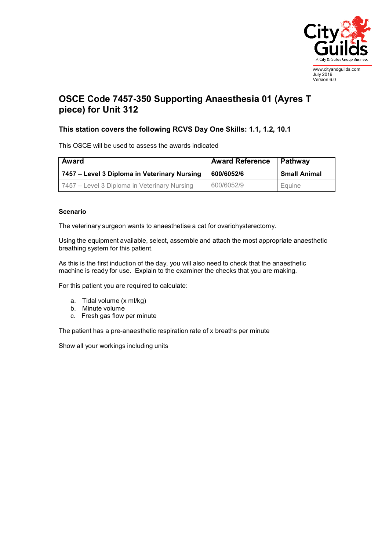

July 2019 Version 6.0

## **OSCE Code 7457-350 Supporting Anaesthesia 01 (Ayres T piece) for Unit 312**

## **This station covers the following RCVS Day One Skills: 1.1, 1.2, 10.1**

This OSCE will be used to assess the awards indicated

| <b>Award</b>                                 | <b>Award Reference</b> | Pathway             |
|----------------------------------------------|------------------------|---------------------|
| 7457 – Level 3 Diploma in Veterinary Nursing | 600/6052/6             | <b>Small Animal</b> |
| 7457 – Level 3 Diploma in Veterinary Nursing | 600/6052/9             | Equine              |

## **Scenario**

The veterinary surgeon wants to anaesthetise a cat for ovariohysterectomy.

Using the equipment available, select, assemble and attach the most appropriate anaesthetic breathing system for this patient.

As this is the first induction of the day, you will also need to check that the anaesthetic machine is ready for use. Explain to the examiner the checks that you are making.

For this patient you are required to calculate:

- a. Tidal volume (x ml/kg)
- b. Minute volume
- c. Fresh gas flow per minute

The patient has a pre-anaesthetic respiration rate of x breaths per minute

Show all your workings including units